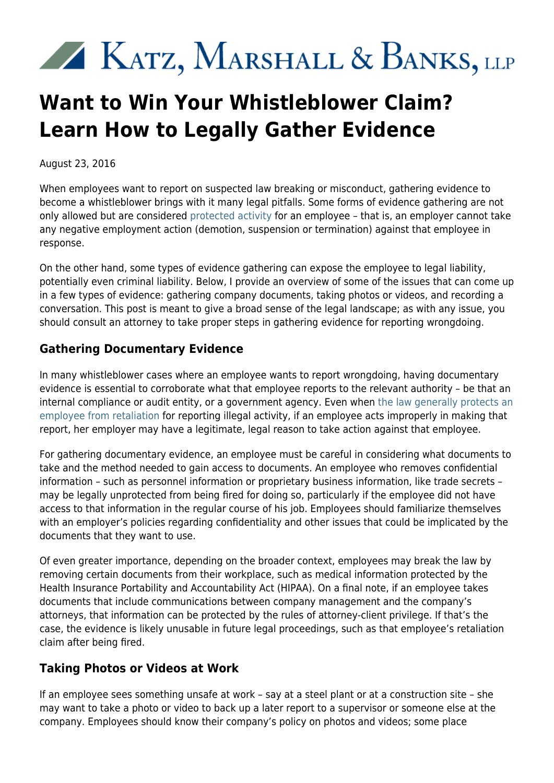# KATZ, MARSHALL & BANKS, LLP

## **Want to Win Your Whistleblower Claim? Learn How to Legally Gather Evidence**

August 23, 2016

When employees want to report on suspected law breaking or misconduct, gathering evidence to become a whistleblower brings with it many legal pitfalls. Some forms of evidence gathering are not only allowed but are considered [protected activity](http://www.kmblegal.com/whistleblower-blog/protected-activity-these-three-whistleblower-retaliation-cases-help-clarify) for an employee – that is, an employer cannot take any negative employment action (demotion, suspension or termination) against that employee in response.

On the other hand, some types of evidence gathering can expose the employee to legal liability, potentially even criminal liability. Below, I provide an overview of some of the issues that can come up in a few types of evidence: gathering company documents, taking photos or videos, and recording a conversation. This post is meant to give a broad sense of the legal landscape; as with any issue, you should consult an attorney to take proper steps in gathering evidence for reporting wrongdoing.

#### **Gathering Documentary Evidence**

In many whistleblower cases where an employee wants to report wrongdoing, having documentary evidence is essential to corroborate what that employee reports to the relevant authority – be that an internal compliance or audit entity, or a government agency. Even when [the law generally protects an](http://www.kmblegal.com/resources/whistleblower-protection-act) [employee from retaliation](http://www.kmblegal.com/resources/whistleblower-protection-act) for reporting illegal activity, if an employee acts improperly in making that report, her employer may have a legitimate, legal reason to take action against that employee.

For gathering documentary evidence, an employee must be careful in considering what documents to take and the method needed to gain access to documents. An employee who removes confidential information – such as personnel information or proprietary business information, like trade secrets – may be legally unprotected from being fired for doing so, particularly if the employee did not have access to that information in the regular course of his job. Employees should familiarize themselves with an employer's policies regarding confidentiality and other issues that could be implicated by the documents that they want to use.

Of even greater importance, depending on the broader context, employees may break the law by removing certain documents from their workplace, such as medical information protected by the Health Insurance Portability and Accountability Act (HIPAA). On a final note, if an employee takes documents that include communications between company management and the company's attorneys, that information can be protected by the rules of attorney-client privilege. If that's the case, the evidence is likely unusable in future legal proceedings, such as that employee's retaliation claim after being fired.

### **Taking Photos or Videos at Work**

If an employee sees something unsafe at work – say at a steel plant or at a construction site – she may want to take a photo or video to back up a later report to a supervisor or someone else at the company. Employees should know their company's policy on photos and videos; some place